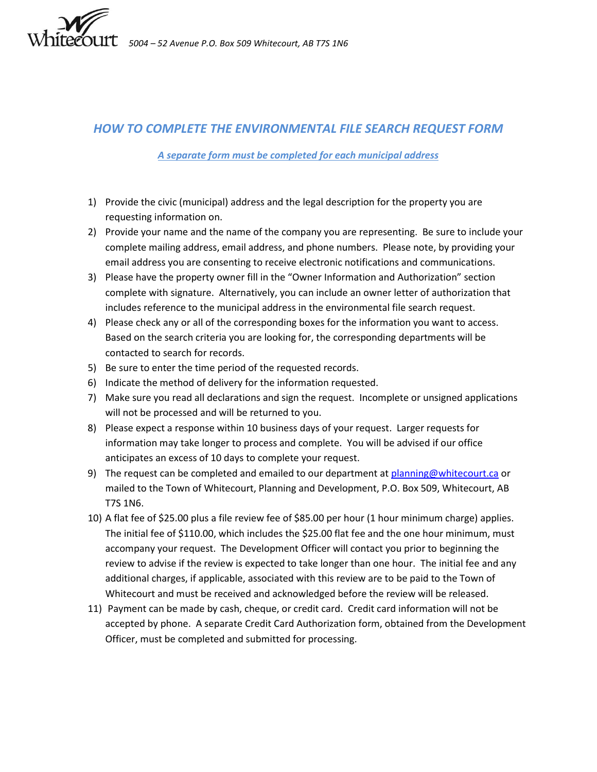

## *HOW TO COMPLETE THE ENVIRONMENTAL FILE SEARCH REQUEST FORM*

## *A separate form must be completed for each municipal address*

- 1) Provide the civic (municipal) address and the legal description for the property you are requesting information on.
- 2) Provide your name and the name of the company you are representing. Be sure to include your complete mailing address, email address, and phone numbers. Please note, by providing your email address you are consenting to receive electronic notifications and communications.
- 3) Please have the property owner fill in the "Owner Information and Authorization" section complete with signature. Alternatively, you can include an owner letter of authorization that includes reference to the municipal address in the environmental file search request.
- 4) Please check any or all of the corresponding boxes for the information you want to access. Based on the search criteria you are looking for, the corresponding departments will be contacted to search for records.
- 5) Be sure to enter the time period of the requested records.
- 6) Indicate the method of delivery for the information requested.
- 7) Make sure you read all declarations and sign the request. Incomplete or unsigned applications will not be processed and will be returned to you.
- 8) Please expect a response within 10 business days of your request. Larger requests for information may take longer to process and complete. You will be advised if our office anticipates an excess of 10 days to complete your request.
- 9) The request can be completed and emailed to our department at [planning@whitecourt.ca](mailto:planning@whitecourt.ca) or mailed to the Town of Whitecourt, Planning and Development, P.O. Box 509, Whitecourt, AB T7S 1N6.
- 10) A flat fee of \$25.00 plus a file review fee of \$85.00 per hour (1 hour minimum charge) applies. The initial fee of \$110.00, which includes the \$25.00 flat fee and the one hour minimum, must accompany your request. The Development Officer will contact you prior to beginning the review to advise if the review is expected to take longer than one hour. The initial fee and any additional charges, if applicable, associated with this review are to be paid to the Town of Whitecourt and must be received and acknowledged before the review will be released.
- 11) Payment can be made by cash, cheque, or credit card. Credit card information will not be accepted by phone. A separate Credit Card Authorization form, obtained from the Development Officer, must be completed and submitted for processing.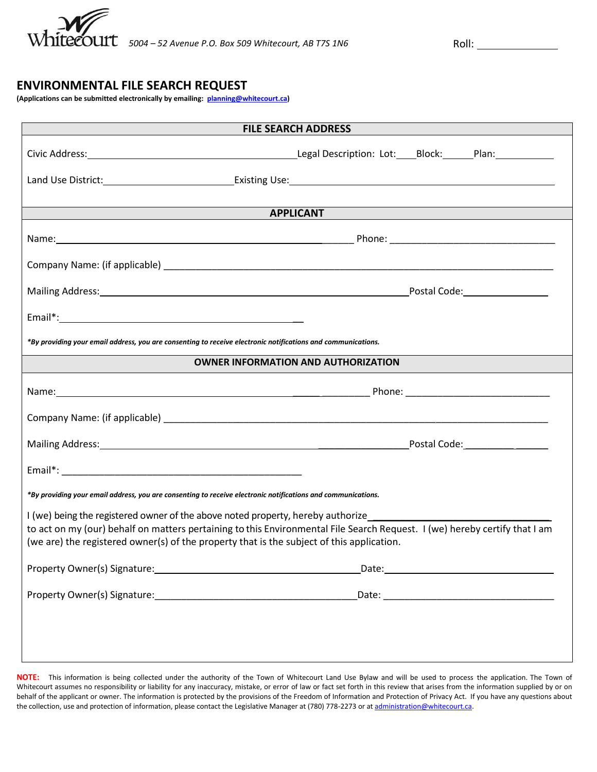

## **ENVIRONMENTAL FILE SEARCH REQUEST**

**(Applications can be submitted electronically by emailing: [planning@whitecourt.ca\)](mailto:planning@whitecourt.ca)** 

| <b>FILE SEARCH ADDRESS</b>                                                                                   |                                                                                                                            |  |
|--------------------------------------------------------------------------------------------------------------|----------------------------------------------------------------------------------------------------------------------------|--|
|                                                                                                              | Civic Address: 1982 1994 [19] Legal Description: Lot: Block: Plan: Plan:                                                   |  |
|                                                                                                              |                                                                                                                            |  |
|                                                                                                              |                                                                                                                            |  |
| <b>Example 2 APPLICANT</b>                                                                                   |                                                                                                                            |  |
|                                                                                                              |                                                                                                                            |  |
|                                                                                                              |                                                                                                                            |  |
|                                                                                                              |                                                                                                                            |  |
|                                                                                                              |                                                                                                                            |  |
| *By providing your email address, you are consenting to receive electronic notifications and communications. |                                                                                                                            |  |
| <b>OWNER INFORMATION AND AUTHORIZATION</b>                                                                   |                                                                                                                            |  |
|                                                                                                              |                                                                                                                            |  |
|                                                                                                              |                                                                                                                            |  |
|                                                                                                              |                                                                                                                            |  |
|                                                                                                              |                                                                                                                            |  |
| *By providing your email address, you are consenting to receive electronic notifications and communications. |                                                                                                                            |  |
| I (we) being the registered owner of the above noted property, hereby authorize____________________          |                                                                                                                            |  |
| (we are) the registered owner(s) of the property that is the subject of this application.                    | to act on my (our) behalf on matters pertaining to this Environmental File Search Request. I (we) hereby certify that I am |  |
|                                                                                                              |                                                                                                                            |  |
|                                                                                                              |                                                                                                                            |  |
|                                                                                                              |                                                                                                                            |  |
|                                                                                                              |                                                                                                                            |  |
|                                                                                                              |                                                                                                                            |  |

**NOTE:** This information is being collected under the authority of the Town of Whitecourt Land Use Bylaw and will be used to process the application. The Town of Whitecourt assumes no responsibility or liability for any inaccuracy, mistake, or error of law or fact set forth in this review that arises from the information supplied by or on behalf of the applicant or owner. The information is protected by the provisions of the Freedom of Information and Protection of Privacy Act. If you have any questions about the collection, use and protection of information, please contact the Legislative Manager at (780) 778-2273 or a[t administration@whitecourt.ca.](mailto:administration@whitecourt.ca)